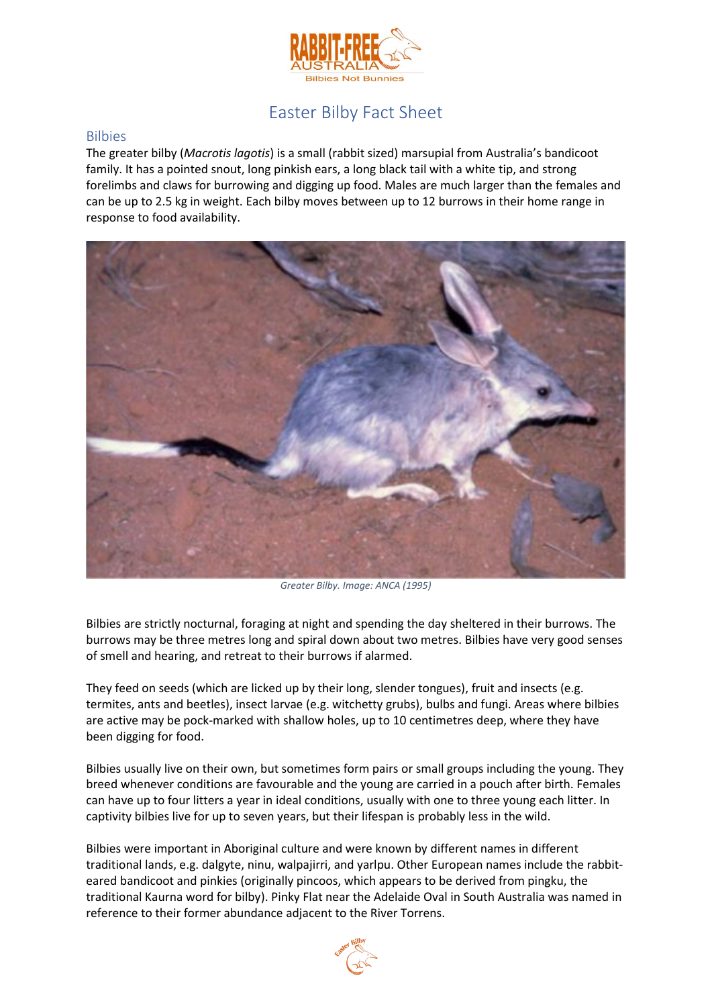

# Easter Bilby Fact Sheet

#### Bilbies

The greater bilby (*Macrotis lagotis*) is a small (rabbit sized) marsupial from Australia's bandicoot family. It has a pointed snout, long pinkish ears, a long black tail with a white tip, and strong forelimbs and claws for burrowing and digging up food. Males are much larger than the females and can be up to 2.5 kg in weight. Each bilby moves between up to 12 burrows in their home range in response to food availability.



*Greater Bilby. Image: ANCA (1995)*

Bilbies are strictly nocturnal, foraging at night and spending the day sheltered in their burrows. The burrows may be three metres long and spiral down about two metres. Bilbies have very good senses of smell and hearing, and retreat to their burrows if alarmed.

They feed on seeds (which are licked up by their long, slender tongues), fruit and insects (e.g. termites, ants and beetles), insect larvae (e.g. witchetty grubs), bulbs and fungi. Areas where bilbies are active may be pock-marked with shallow holes, up to 10 centimetres deep, where they have been digging for food.

Bilbies usually live on their own, but sometimes form pairs or small groups including the young. They breed whenever conditions are favourable and the young are carried in a pouch after birth. Females can have up to four litters a year in ideal conditions, usually with one to three young each litter. In captivity bilbies live for up to seven years, but their lifespan is probably less in the wild.

Bilbies were important in Aboriginal culture and were known by different names in different traditional lands, e.g. dalgyte, ninu, walpajirri, and yarlpu. Other European names include the rabbiteared bandicoot and pinkies (originally pincoos, which appears to be derived from pingku, the traditional Kaurna word for bilby). Pinky Flat near the Adelaide Oval in South Australia was named in reference to their former abundance adjacent to the River Torrens.

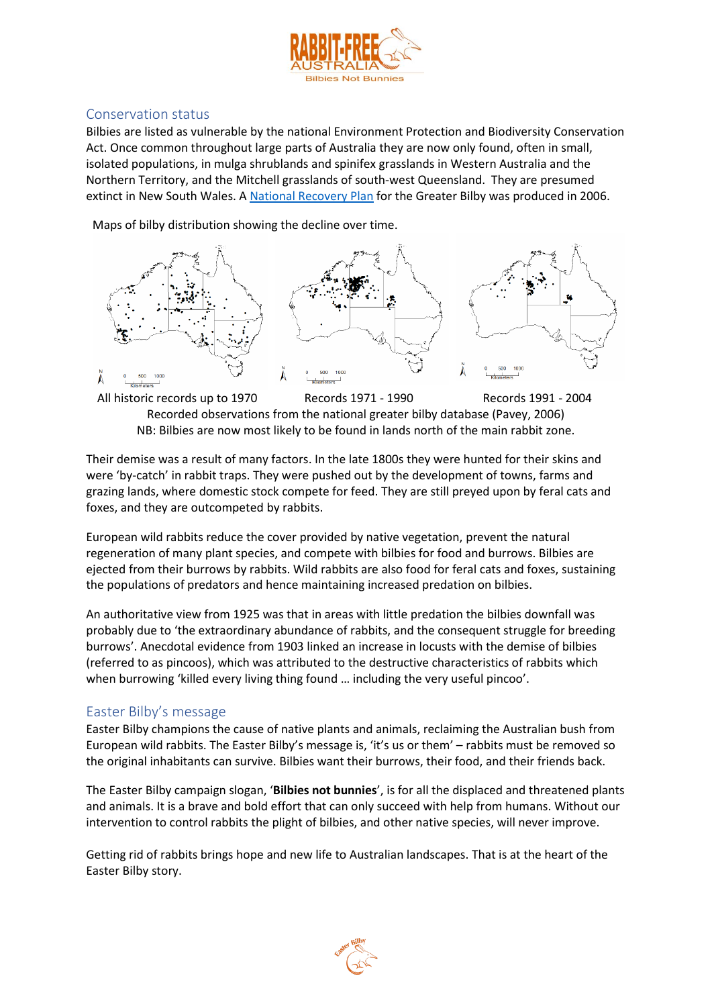

### Conservation status

Bilbies are listed as vulnerable by the national Environment Protection and Biodiversity Conservation Act. Once common throughout large parts of Australia they are now only found, often in small, isolated populations, in mulga shrublands and spinifex grasslands in Western Australia and the Northern Territory, and the Mitchell grasslands of south-west Queensland. They are presumed extinct in New South Wales. A [National Recovery Plan](https://www.environment.gov.au/biodiversity/threatened/recovery-plans/national-recovery-plan-greater-bilby-macrotis-lagotis) for the Greater Bilby was produced in 2006.

Maps of bilby distribution showing the decline over time.



All historic records up to 1970 Records 1971 - 1990 Records 1991 - 2004 Recorded observations from the national greater bilby database (Pavey, 2006) NB: Bilbies are now most likely to be found in lands north of the main rabbit zone.

Their demise was a result of many factors. In the late 1800s they were hunted for their skins and were 'by-catch' in rabbit traps. They were pushed out by the development of towns, farms and grazing lands, where domestic stock compete for feed. They are still preyed upon by feral cats and foxes, and they are outcompeted by rabbits.

European wild rabbits reduce the cover provided by native vegetation, prevent the natural regeneration of many plant species, and compete with bilbies for food and burrows. Bilbies are ejected from their burrows by rabbits. Wild rabbits are also food for feral cats and foxes, sustaining the populations of predators and hence maintaining increased predation on bilbies.

An authoritative view from 1925 was that in areas with little predation the bilbies downfall was probably due to 'the extraordinary abundance of rabbits, and the consequent struggle for breeding burrows'. Anecdotal evidence from 1903 linked an increase in locusts with the demise of bilbies (referred to as pincoos), which was attributed to the destructive characteristics of rabbits which when burrowing 'killed every living thing found ... including the very useful pincoo'.

## Easter Bilby's message

Easter Bilby champions the cause of native plants and animals, reclaiming the Australian bush from European wild rabbits. The Easter Bilby's message is, 'it's us or them' – rabbits must be removed so the original inhabitants can survive. Bilbies want their burrows, their food, and their friends back.

The Easter Bilby campaign slogan, '**Bilbies not bunnies**', is for all the displaced and threatened plants and animals. It is a brave and bold effort that can only succeed with help from humans. Without our intervention to control rabbits the plight of bilbies, and other native species, will never improve.

Getting rid of rabbits brings hope and new life to Australian landscapes. That is at the heart of the Easter Bilby story.